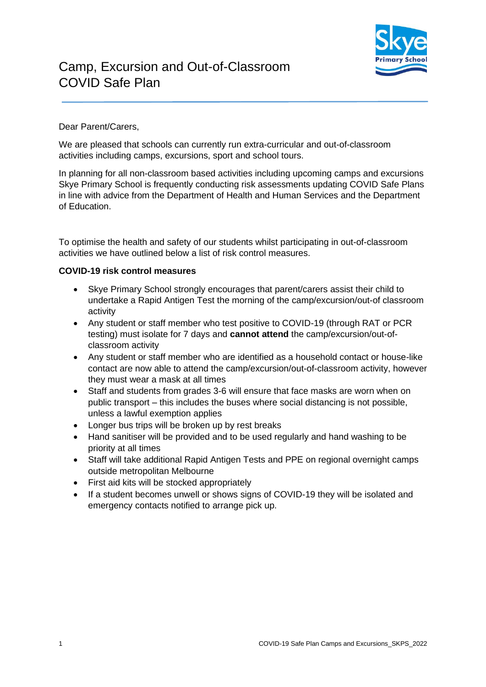

## Camp, Excursion and Out-of-Classroom COVID Safe Plan

## Dear Parent/Carers,

We are pleased that schools can currently run extra-curricular and out-of-classroom activities including camps, excursions, sport and school tours.

In planning for all non-classroom based activities including upcoming camps and excursions Skye Primary School is frequently conducting risk assessments updating COVID Safe Plans in line with advice from the Department of Health and Human Services and the Department of Education.

To optimise the health and safety of our students whilst participating in out-of-classroom activities we have outlined below a list of risk control measures.

## **COVID-19 risk control measures**

- Skye Primary School strongly encourages that parent/carers assist their child to undertake a Rapid Antigen Test the morning of the camp/excursion/out-of classroom activity
- Any student or staff member who test positive to COVID-19 (through RAT or PCR testing) must isolate for 7 days and **cannot attend** the camp/excursion/out-ofclassroom activity
- Any student or staff member who are identified as a household contact or house-like contact are now able to attend the camp/excursion/out-of-classroom activity, however they must wear a mask at all times
- Staff and students from grades 3-6 will ensure that face masks are worn when on public transport – this includes the buses where social distancing is not possible, unless a lawful exemption applies
- Longer bus trips will be broken up by rest breaks
- Hand sanitiser will be provided and to be used regularly and hand washing to be priority at all times
- Staff will take additional Rapid Antigen Tests and PPE on regional overnight camps outside metropolitan Melbourne
- First aid kits will be stocked appropriately
- If a student becomes unwell or shows signs of COVID-19 they will be isolated and emergency contacts notified to arrange pick up.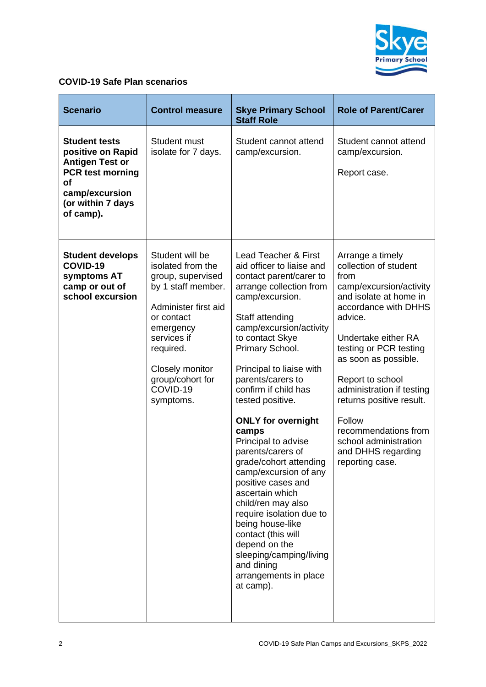

## **COVID-19 Safe Plan scenarios**

| <b>Scenario</b>                                                                                                                                                 | <b>Control measure</b>                                                                                                                                                                                                         | <b>Skye Primary School</b><br><b>Staff Role</b>                                                                                                                                                                                                                                                                                                                                                                                                                                                                                                                                                                                                                                                  | <b>Role of Parent/Carer</b>                                                                                                                                                                                                                                                                                                                                                                         |
|-----------------------------------------------------------------------------------------------------------------------------------------------------------------|--------------------------------------------------------------------------------------------------------------------------------------------------------------------------------------------------------------------------------|--------------------------------------------------------------------------------------------------------------------------------------------------------------------------------------------------------------------------------------------------------------------------------------------------------------------------------------------------------------------------------------------------------------------------------------------------------------------------------------------------------------------------------------------------------------------------------------------------------------------------------------------------------------------------------------------------|-----------------------------------------------------------------------------------------------------------------------------------------------------------------------------------------------------------------------------------------------------------------------------------------------------------------------------------------------------------------------------------------------------|
| <b>Student tests</b><br>positive on Rapid<br><b>Antigen Test or</b><br><b>PCR test morning</b><br><b>of</b><br>camp/excursion<br>(or within 7 days<br>of camp). | Student must<br>isolate for 7 days.                                                                                                                                                                                            | Student cannot attend<br>camp/excursion.                                                                                                                                                                                                                                                                                                                                                                                                                                                                                                                                                                                                                                                         | Student cannot attend<br>camp/excursion.<br>Report case.                                                                                                                                                                                                                                                                                                                                            |
| <b>Student develops</b><br>COVID-19<br>symptoms AT<br>camp or out of<br>school excursion                                                                        | Student will be<br>isolated from the<br>group, supervised<br>by 1 staff member.<br>Administer first aid<br>or contact<br>emergency<br>services if<br>required.<br>Closely monitor<br>group/cohort for<br>COVID-19<br>symptoms. | <b>Lead Teacher &amp; First</b><br>aid officer to liaise and<br>contact parent/carer to<br>arrange collection from<br>camp/excursion.<br>Staff attending<br>camp/excursion/activity<br>to contact Skye<br>Primary School.<br>Principal to liaise with<br>parents/carers to<br>confirm if child has<br>tested positive.<br><b>ONLY for overnight</b><br>camps<br>Principal to advise<br>parents/carers of<br>grade/cohort attending<br>camp/excursion of any<br>positive cases and<br>ascertain which<br>child/ren may also<br>require isolation due to<br>being house-like<br>contact (this will<br>depend on the<br>sleeping/camping/living<br>and dining<br>arrangements in place<br>at camp). | Arrange a timely<br>collection of student<br>from<br>camp/excursion/activity<br>and isolate at home in<br>accordance with DHHS<br>advice.<br>Undertake either RA<br>testing or PCR testing<br>as soon as possible.<br>Report to school<br>administration if testing<br>returns positive result.<br>Follow<br>recommendations from<br>school administration<br>and DHHS regarding<br>reporting case. |